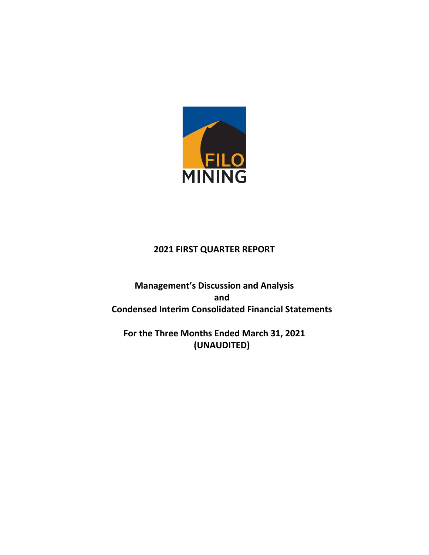

# **2021 FIRST QUARTER REPORT**

**Management's Discussion and Analysis and Condensed Interim Consolidated Financial Statements**

**For the Three Months Ended March 31, 2021 (UNAUDITED)**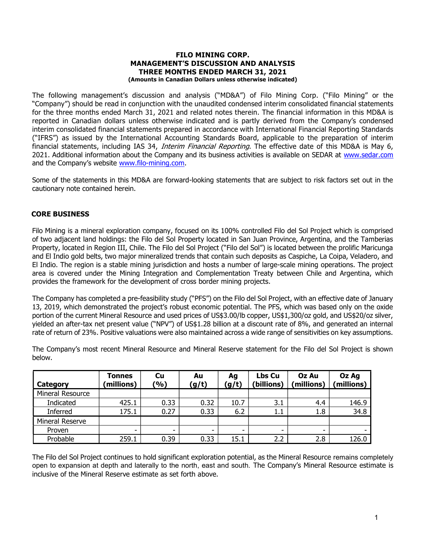#### FILO MINING CORP. MANAGEMENT'S DISCUSSION AND ANALYSIS THREE MONTHS ENDED MARCH 31, 2021 (Amounts in Canadian Dollars unless otherwise indicated)

The following management's discussion and analysis ("MD&A") of Filo Mining Corp. ("Filo Mining" or the "Company") should be read in conjunction with the unaudited condensed interim consolidated financial statements for the three months ended March 31, 2021 and related notes therein. The financial information in this MD&A is reported in Canadian dollars unless otherwise indicated and is partly derived from the Company's condensed interim consolidated financial statements prepared in accordance with International Financial Reporting Standards ("IFRS") as issued by the International Accounting Standards Board, applicable to the preparation of interim financial statements, including IAS 34, *Interim Financial Reporting*. The effective date of this MD&A is May 6, 2021. Additional information about the Company and its business activities is available on SEDAR at www.sedar.com and the Company's website www.filo-mining.com.

Some of the statements in this MD&A are forward-looking statements that are subject to risk factors set out in the cautionary note contained herein.

# CORE BUSINESS

Filo Mining is a mineral exploration company, focused on its 100% controlled Filo del Sol Project which is comprised of two adjacent land holdings: the Filo del Sol Property located in San Juan Province, Argentina, and the Tamberias Property, located in Region III, Chile. The Filo del Sol Project ("Filo del Sol") is located between the prolific Maricunga and El Indio gold belts, two major mineralized trends that contain such deposits as Caspiche, La Coipa, Veladero, and El Indio. The region is a stable mining jurisdiction and hosts a number of large-scale mining operations. The project area is covered under the Mining Integration and Complementation Treaty between Chile and Argentina, which provides the framework for the development of cross border mining projects.

The Company has completed a pre-feasibility study ("PFS") on the Filo del Sol Project, with an effective date of January 13, 2019, which demonstrated the project's robust economic potential. The PFS, which was based only on the oxide portion of the current Mineral Resource and used prices of US\$3.00/lb copper, US\$1,300/oz gold, and US\$20/oz silver, yielded an after-tax net present value ("NPV") of US\$1.28 billion at a discount rate of 8%, and generated an internal rate of return of 23%. Positive valuations were also maintained across a wide range of sensitivities on key assumptions.

**Category** Tonnes (millions) Cu (%) Au  $(g/t)$ Ag (g/t) Lbs Cu (billions) Oz Au (millions) Oz Ag (millions) Mineral Resource Indicated | 425.1 | 0.33 | 0.32 | 10.7 | 3.1 | 4.4 | 146.9 Inferred | 175.1 | 0.27 | 0.33 | 6.2 | 1.1 | 1.8 | 34.8 Mineral Reserve Proven - - - - - - - Probable | 259.1 | 0.39 | 0.33 | 15.1 | 2.2 | 2.8 | 126.0

The Company's most recent Mineral Resource and Mineral Reserve statement for the Filo del Sol Project is shown below.

The Filo del Sol Project continues to hold significant exploration potential, as the Mineral Resource remains completely open to expansion at depth and laterally to the north, east and south. The Company's Mineral Resource estimate is inclusive of the Mineral Reserve estimate as set forth above.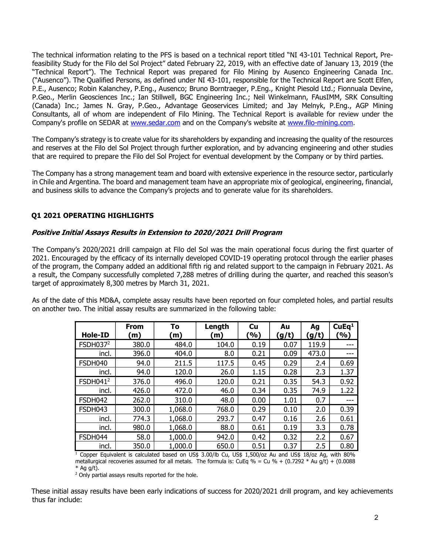The technical information relating to the PFS is based on a technical report titled "NI 43-101 Technical Report, Prefeasibility Study for the Filo del Sol Project" dated February 22, 2019, with an effective date of January 13, 2019 (the "Technical Report"). The Technical Report was prepared for Filo Mining by Ausenco Engineering Canada Inc. ("Ausenco"). The Qualified Persons, as defined under NI 43-101, responsible for the Technical Report are Scott Elfen, P.E., Ausenco; Robin Kalanchey, P.Eng., Ausenco; Bruno Borntraeger, P.Eng., Knight Piesold Ltd.; Fionnuala Devine, P.Geo., Merlin Geosciences Inc.; Ian Stillwell, BGC Engineering Inc.; Neil Winkelmann, FAusIMM, SRK Consulting (Canada) Inc.; James N. Gray, P.Geo., Advantage Geoservices Limited; and Jay Melnyk, P.Eng., AGP Mining Consultants, all of whom are independent of Filo Mining. The Technical Report is available for review under the Company's profile on SEDAR at www.sedar.com and on the Company's website at www.filo-mining.com.

The Company's strategy is to create value for its shareholders by expanding and increasing the quality of the resources and reserves at the Filo del Sol Project through further exploration, and by advancing engineering and other studies that are required to prepare the Filo del Sol Project for eventual development by the Company or by third parties.

The Company has a strong management team and board with extensive experience in the resource sector, particularly in Chile and Argentina. The board and management team have an appropriate mix of geological, engineering, financial, and business skills to advance the Company's projects and to generate value for its shareholders.

# Q1 2021 OPERATING HIGHLIGHTS

## Positive Initial Assays Results in Extension to 2020/2021 Drill Program

The Company's 2020/2021 drill campaign at Filo del Sol was the main operational focus during the first quarter of 2021. Encouraged by the efficacy of its internally developed COVID-19 operating protocol through the earlier phases of the program, the Company added an additional fifth rig and related support to the campaign in February 2021. As a result, the Company successfully completed 7,288 metres of drilling during the quarter, and reached this season's target of approximately 8,300 metres by March 31, 2021.

As of the date of this MD&A, complete assay results have been reported on four completed holes, and partial results on another two. The initial assay results are summarized in the following table:

| Hole-ID              | <b>From</b><br>(m) | To<br>m) | Length<br>(m) | Cu<br>(%) | Au<br>(g/t) | Ag<br><u>(g/t)</u> | CuEq <sup>1</sup><br>(%) |
|----------------------|--------------------|----------|---------------|-----------|-------------|--------------------|--------------------------|
| FSDH037 <sup>2</sup> | 380.0              | 484.0    | 104.0         | 0.19      | 0.07        | 119.9              |                          |
| incl.                | 396.0              | 404.0    | 8.0           | 0.21      | 0.09        | 473.0              |                          |
| FSDH040              | 94.0               | 211.5    | 117.5         | 0.45      | 0.29        | 2.4                | 0.69                     |
| incl.                | 94.0               | 120.0    | 26.0          | 1.15      | 0.28        | 2.3                | 1.37                     |
| FSDH041 <sup>2</sup> | 376.0              | 496.0    | 120.0         | 0.21      | 0.35        | 54.3               | 0.92                     |
| incl.                | 426.0              | 472.0    | 46.0          | 0.34      | 0.35        | 74.9               | 1.22                     |
| FSDH042              | 262.0              | 310.0    | 48.0          | 0.00      | 1.01        | 0.7                |                          |
| FSDH043              | 300.0              | 1,068.0  | 768.0         | 0.29      | 0.10        | 2.0                | 0.39                     |
| incl.                | 774.3              | 1,068.0  | 293.7         | 0.47      | 0.16        | 2.6                | 0.61                     |
| incl.                | 980.0              | 1,068.0  | 88.0          | 0.61      | 0.19        | 3.3                | 0.78                     |
| FSDH044              | 58.0               | 1,000.0  | 942.0         | 0.42      | 0.32        | 2.2                | 0.67                     |
| incl.                | 350.0              | 1,000.0  | 650.0         | 0.51      | 0.37        | 2.5                | 0.80                     |

1 Copper Equivalent is calculated based on US\$ 3.00/lb Cu, US\$ 1,500/oz Au and US\$ 18/oz Ag, with 80% metallurgical recoveries assumed for all metals. The formula is: CuEq % = Cu % + (0.7292  $*$  Au g/t) + (0.0088 \* Ag g/t).

<sup>2</sup> Only partial assays results reported for the hole.

These initial assay results have been early indications of success for 2020/2021 drill program, and key achievements thus far include: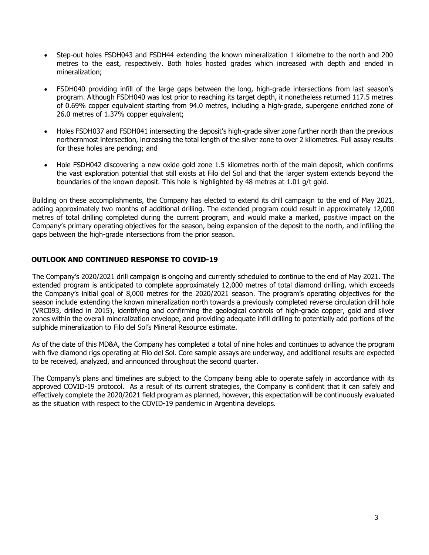- Step-out holes FSDH043 and FSDH44 extending the known mineralization 1 kilometre to the north and 200 metres to the east, respectively. Both holes hosted grades which increased with depth and ended in mineralization;
- FSDH040 providing infill of the large gaps between the long, high-grade intersections from last season's program. Although FSDH040 was lost prior to reaching its target depth, it nonetheless returned 117.5 metres of 0.69% copper equivalent starting from 94.0 metres, including a high-grade, supergene enriched zone of 26.0 metres of 1.37% copper equivalent;
- Holes FSDH037 and FSDH041 intersecting the deposit's high-grade silver zone further north than the previous northernmost intersection, increasing the total length of the silver zone to over 2 kilometres. Full assay results for these holes are pending; and
- Hole FSDH042 discovering a new oxide gold zone 1.5 kilometres north of the main deposit, which confirms the vast exploration potential that still exists at Filo del Sol and that the larger system extends beyond the boundaries of the known deposit. This hole is highlighted by 48 metres at 1.01 g/t gold.

Building on these accomplishments, the Company has elected to extend its drill campaign to the end of May 2021, adding approximately two months of additional drilling. The extended program could result in approximately 12,000 metres of total drilling completed during the current program, and would make a marked, positive impact on the Company's primary operating objectives for the season, being expansion of the deposit to the north, and infilling the gaps between the high-grade intersections from the prior season.

# OUTLOOK AND CONTINUED RESPONSE TO COVID-19

The Company's 2020/2021 drill campaign is ongoing and currently scheduled to continue to the end of May 2021. The extended program is anticipated to complete approximately 12,000 metres of total diamond drilling, which exceeds the Company's initial goal of 8,000 metres for the 2020/2021 season. The program's operating objectives for the season include extending the known mineralization north towards a previously completed reverse circulation drill hole (VRC093, drilled in 2015), identifying and confirming the geological controls of high-grade copper, gold and silver zones within the overall mineralization envelope, and providing adequate infill drilling to potentially add portions of the sulphide mineralization to Filo del Sol's Mineral Resource estimate.

As of the date of this MD&A, the Company has completed a total of nine holes and continues to advance the program with five diamond rigs operating at Filo del Sol. Core sample assays are underway, and additional results are expected to be received, analyzed, and announced throughout the second quarter.

The Company's plans and timelines are subject to the Company being able to operate safely in accordance with its approved COVID-19 protocol. As a result of its current strategies, the Company is confident that it can safely and effectively complete the 2020/2021 field program as planned, however, this expectation will be continuously evaluated as the situation with respect to the COVID-19 pandemic in Argentina develops.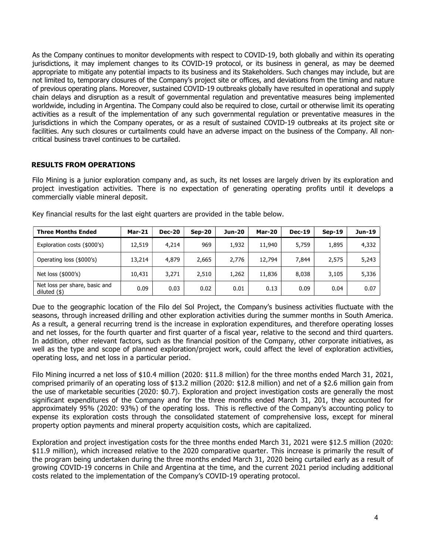As the Company continues to monitor developments with respect to COVID-19, both globally and within its operating jurisdictions, it may implement changes to its COVID-19 protocol, or its business in general, as may be deemed appropriate to mitigate any potential impacts to its business and its Stakeholders. Such changes may include, but are not limited to, temporary closures of the Company's project site or offices, and deviations from the timing and nature of previous operating plans. Moreover, sustained COVID-19 outbreaks globally have resulted in operational and supply chain delays and disruption as a result of governmental regulation and preventative measures being implemented worldwide, including in Argentina. The Company could also be required to close, curtail or otherwise limit its operating activities as a result of the implementation of any such governmental regulation or preventative measures in the jurisdictions in which the Company operates, or as a result of sustained COVID-19 outbreaks at its project site or facilities. Any such closures or curtailments could have an adverse impact on the business of the Company. All noncritical business travel continues to be curtailed.

#### RESULTS FROM OPERATIONS

Filo Mining is a junior exploration company and, as such, its net losses are largely driven by its exploration and project investigation activities. There is no expectation of generating operating profits until it develops a commercially viable mineral deposit.

| <b>Three Months Ended</b>                       | <b>Mar-21</b> | <b>Dec-20</b> | Sep-20 | Jun-20 | <b>Mar-20</b> | <b>Dec-19</b> | $Sen-19$ | Jun-19 |
|-------------------------------------------------|---------------|---------------|--------|--------|---------------|---------------|----------|--------|
| Exploration costs (\$000's)                     | 12,519        | 4,214         | 969    | 1,932  | 11,940        | 5,759         | 1,895    | 4,332  |
| Operating loss (\$000's)                        | 13,214        | 4,879         | 2,665  | 2.776  | 12,794        | 7.844         | 2,575    | 5,243  |
| Net loss (\$000's)                              | 10,431        | 3,271         | 2,510  | 1,262  | 11,836        | 8.038         | 3,105    | 5,336  |
| Net loss per share, basic and<br>diluted $(\$)$ | 0.09          | 0.03          | 0.02   | 0.01   | 0.13          | 0.09          | 0.04     | 0.07   |

Key financial results for the last eight quarters are provided in the table below.

Due to the geographic location of the Filo del Sol Project, the Company's business activities fluctuate with the seasons, through increased drilling and other exploration activities during the summer months in South America. As a result, a general recurring trend is the increase in exploration expenditures, and therefore operating losses and net losses, for the fourth quarter and first quarter of a fiscal year, relative to the second and third quarters. In addition, other relevant factors, such as the financial position of the Company, other corporate initiatives, as well as the type and scope of planned exploration/project work, could affect the level of exploration activities, operating loss, and net loss in a particular period.

Filo Mining incurred a net loss of \$10.4 million (2020: \$11.8 million) for the three months ended March 31, 2021, comprised primarily of an operating loss of \$13.2 million (2020: \$12.8 million) and net of a \$2.6 million gain from the use of marketable securities (2020: \$0.7). Exploration and project investigation costs are generally the most significant expenditures of the Company and for the three months ended March 31, 201, they accounted for approximately 95% (2020: 93%) of the operating loss. This is reflective of the Company's accounting policy to expense its exploration costs through the consolidated statement of comprehensive loss, except for mineral property option payments and mineral property acquisition costs, which are capitalized.

Exploration and project investigation costs for the three months ended March 31, 2021 were \$12.5 million (2020: \$11.9 million), which increased relative to the 2020 comparative quarter. This increase is primarily the result of the program being undertaken during the three months ended March 31, 2020 being curtailed early as a result of growing COVID-19 concerns in Chile and Argentina at the time, and the current 2021 period including additional costs related to the implementation of the Company's COVID-19 operating protocol.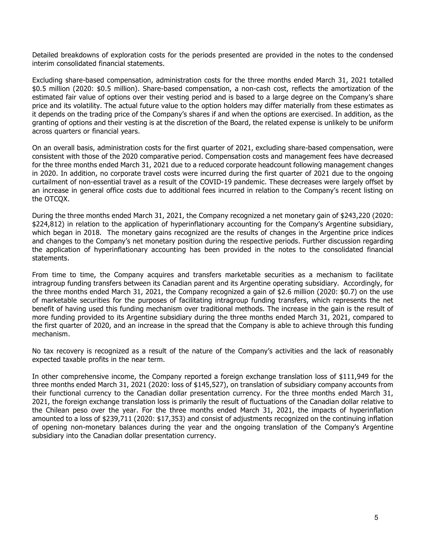Detailed breakdowns of exploration costs for the periods presented are provided in the notes to the condensed interim consolidated financial statements.

Excluding share-based compensation, administration costs for the three months ended March 31, 2021 totalled \$0.5 million (2020: \$0.5 million). Share-based compensation, a non-cash cost, reflects the amortization of the estimated fair value of options over their vesting period and is based to a large degree on the Company's share price and its volatility. The actual future value to the option holders may differ materially from these estimates as it depends on the trading price of the Company's shares if and when the options are exercised. In addition, as the granting of options and their vesting is at the discretion of the Board, the related expense is unlikely to be uniform across quarters or financial years.

On an overall basis, administration costs for the first quarter of 2021, excluding share-based compensation, were consistent with those of the 2020 comparative period. Compensation costs and management fees have decreased for the three months ended March 31, 2021 due to a reduced corporate headcount following management changes in 2020. In addition, no corporate travel costs were incurred during the first quarter of 2021 due to the ongoing curtailment of non-essential travel as a result of the COVID-19 pandemic. These decreases were largely offset by an increase in general office costs due to additional fees incurred in relation to the Company's recent listing on the OTCQX.

During the three months ended March 31, 2021, the Company recognized a net monetary gain of \$243,220 (2020: \$224,812) in relation to the application of hyperinflationary accounting for the Company's Argentine subsidiary, which began in 2018. The monetary gains recognized are the results of changes in the Argentine price indices and changes to the Company's net monetary position during the respective periods. Further discussion regarding the application of hyperinflationary accounting has been provided in the notes to the consolidated financial statements.

From time to time, the Company acquires and transfers marketable securities as a mechanism to facilitate intragroup funding transfers between its Canadian parent and its Argentine operating subsidiary. Accordingly, for the three months ended March 31, 2021, the Company recognized a gain of \$2.6 million (2020: \$0.7) on the use of marketable securities for the purposes of facilitating intragroup funding transfers, which represents the net benefit of having used this funding mechanism over traditional methods. The increase in the gain is the result of more funding provided to its Argentine subsidiary during the three months ended March 31, 2021, compared to the first quarter of 2020, and an increase in the spread that the Company is able to achieve through this funding mechanism.

No tax recovery is recognized as a result of the nature of the Company's activities and the lack of reasonably expected taxable profits in the near term.

In other comprehensive income, the Company reported a foreign exchange translation loss of \$111,949 for the three months ended March 31, 2021 (2020: loss of \$145,527), on translation of subsidiary company accounts from their functional currency to the Canadian dollar presentation currency. For the three months ended March 31, 2021, the foreign exchange translation loss is primarily the result of fluctuations of the Canadian dollar relative to the Chilean peso over the year. For the three months ended March 31, 2021, the impacts of hyperinflation amounted to a loss of \$239,711 (2020: \$17,353) and consist of adjustments recognized on the continuing inflation of opening non-monetary balances during the year and the ongoing translation of the Company's Argentine subsidiary into the Canadian dollar presentation currency.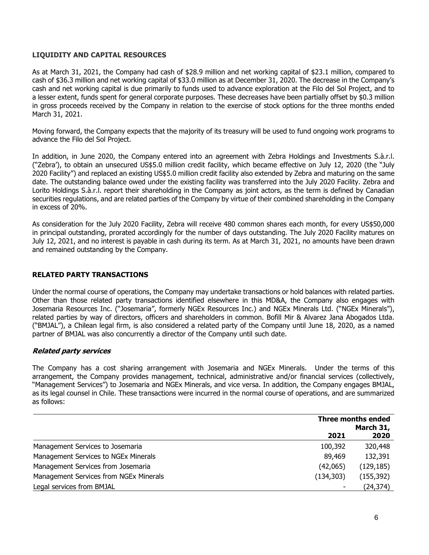# LIQUIDITY AND CAPITAL RESOURCES

As at March 31, 2021, the Company had cash of \$28.9 million and net working capital of \$23.1 million, compared to cash of \$36.3 million and net working capital of \$33.0 million as at December 31, 2020. The decrease in the Company's cash and net working capital is due primarily to funds used to advance exploration at the Filo del Sol Project, and to a lesser extent, funds spent for general corporate purposes. These decreases have been partially offset by \$0.3 million in gross proceeds received by the Company in relation to the exercise of stock options for the three months ended March 31, 2021.

Moving forward, the Company expects that the majority of its treasury will be used to fund ongoing work programs to advance the Filo del Sol Project.

In addition, in June 2020, the Company entered into an agreement with Zebra Holdings and Investments S.à.r.l. ("Zebra'), to obtain an unsecured US\$5.0 million credit facility, which became effective on July 12, 2020 (the "July 2020 Facility") and replaced an existing US\$5.0 million credit facility also extended by Zebra and maturing on the same date. The outstanding balance owed under the existing facility was transferred into the July 2020 Facility. Zebra and Lorito Holdings S.à.r.l. report their shareholding in the Company as joint actors, as the term is defined by Canadian securities regulations, and are related parties of the Company by virtue of their combined shareholding in the Company in excess of 20%.

As consideration for the July 2020 Facility, Zebra will receive 480 common shares each month, for every US\$50,000 in principal outstanding, prorated accordingly for the number of days outstanding. The July 2020 Facility matures on July 12, 2021, and no interest is payable in cash during its term. As at March 31, 2021, no amounts have been drawn and remained outstanding by the Company.

# RELATED PARTY TRANSACTIONS

Under the normal course of operations, the Company may undertake transactions or hold balances with related parties. Other than those related party transactions identified elsewhere in this MD&A, the Company also engages with Josemaria Resources Inc. ("Josemaria", formerly NGEx Resources Inc.) and NGEx Minerals Ltd. ("NGEx Minerals"), related parties by way of directors, officers and shareholders in common. Bofill Mir & Alvarez Jana Abogados Ltda. ("BMJAL"), a Chilean legal firm, is also considered a related party of the Company until June 18, 2020, as a named partner of BMJAL was also concurrently a director of the Company until such date.

## Related party services

The Company has a cost sharing arrangement with Josemaria and NGEx Minerals. Under the terms of this arrangement, the Company provides management, technical, administrative and/or financial services (collectively, "Management Services") to Josemaria and NGEx Minerals, and vice versa. In addition, the Company engages BMJAL, as its legal counsel in Chile. These transactions were incurred in the normal course of operations, and are summarized as follows:

|                                        |            | <b>Three months ended</b><br>March 31, |
|----------------------------------------|------------|----------------------------------------|
|                                        | 2021       | 2020                                   |
| Management Services to Josemaria       | 100,392    | 320,448                                |
| Management Services to NGEx Minerals   | 89,469     | 132,391                                |
| Management Services from Josemaria     | (42,065)   | (129, 185)                             |
| Management Services from NGEx Minerals | (134, 303) | (155, 392)                             |
| Legal services from BMJAL              | ۰          | (24,374)                               |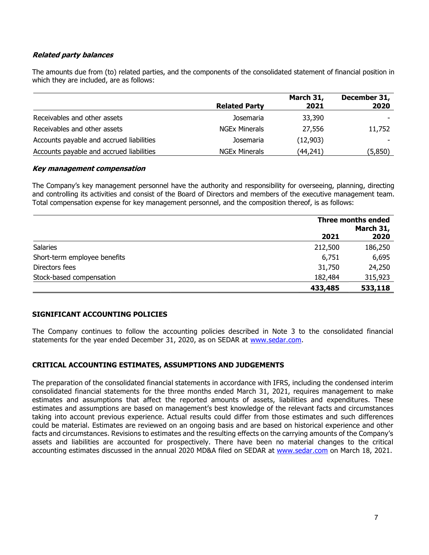# Related party balances

The amounts due from (to) related parties, and the components of the consolidated statement of financial position in which they are included, are as follows:

|                                          |                      | March 31, | December 31, |
|------------------------------------------|----------------------|-----------|--------------|
|                                          | <b>Related Party</b> | 2021      | 2020         |
| Receivables and other assets             | Josemaria            | 33,390    |              |
| Receivables and other assets             | <b>NGEx Minerals</b> | 27,556    | 11,752       |
| Accounts payable and accrued liabilities | Josemaria            | (12,903)  |              |
| Accounts payable and accrued liabilities | <b>NGEx Minerals</b> | (44,241)  | (5,850)      |

#### Key management compensation

The Company's key management personnel have the authority and responsibility for overseeing, planning, directing and controlling its activities and consist of the Board of Directors and members of the executive management team. Total compensation expense for key management personnel, and the composition thereof, is as follows:

|                              |         | <b>Three months ended</b> |
|------------------------------|---------|---------------------------|
|                              | 2021    | March 31,<br>2020         |
| Salaries                     | 212,500 | 186,250                   |
| Short-term employee benefits | 6,751   | 6,695                     |
| Directors fees               | 31,750  | 24,250                    |
| Stock-based compensation     | 182,484 | 315,923                   |
|                              | 433,485 | 533,118                   |

## SIGNIFICANT ACCOUNTING POLICIES

The Company continues to follow the accounting policies described in Note 3 to the consolidated financial statements for the year ended December 31, 2020, as on SEDAR at www.sedar.com.

## CRITICAL ACCOUNTING ESTIMATES, ASSUMPTIONS AND JUDGEMENTS

The preparation of the consolidated financial statements in accordance with IFRS, including the condensed interim consolidated financial statements for the three months ended March 31, 2021, requires management to make estimates and assumptions that affect the reported amounts of assets, liabilities and expenditures. These estimates and assumptions are based on management's best knowledge of the relevant facts and circumstances taking into account previous experience. Actual results could differ from those estimates and such differences could be material. Estimates are reviewed on an ongoing basis and are based on historical experience and other facts and circumstances. Revisions to estimates and the resulting effects on the carrying amounts of the Company's assets and liabilities are accounted for prospectively. There have been no material changes to the critical accounting estimates discussed in the annual 2020 MD&A filed on SEDAR at www.sedar.com on March 18, 2021.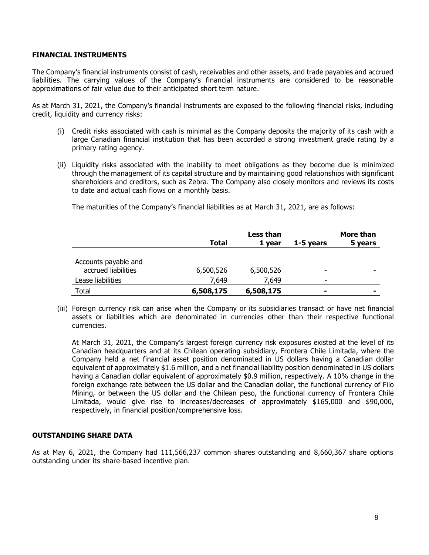#### FINANCIAL INSTRUMENTS

The Company's financial instruments consist of cash, receivables and other assets, and trade payables and accrued liabilities. The carrying values of the Company's financial instruments are considered to be reasonable approximations of fair value due to their anticipated short term nature.

As at March 31, 2021, the Company's financial instruments are exposed to the following financial risks, including credit, liquidity and currency risks:

- (i) Credit risks associated with cash is minimal as the Company deposits the majority of its cash with a large Canadian financial institution that has been accorded a strong investment grade rating by a primary rating agency.
- (ii) Liquidity risks associated with the inability to meet obligations as they become due is minimized through the management of its capital structure and by maintaining good relationships with significant shareholders and creditors, such as Zebra. The Company also closely monitors and reviews its costs to date and actual cash flows on a monthly basis.

The maturities of the Company's financial liabilities as at March 31, 2021, are as follows:

|                                             | <b>Total</b> | Less than<br>1 year | 1-5 years | More than<br>5 years |
|---------------------------------------------|--------------|---------------------|-----------|----------------------|
| Accounts payable and<br>accrued liabilities | 6,500,526    | 6,500,526           | -         |                      |
| Lease liabilities                           | 7,649        | 7,649               | -         |                      |
| Total                                       | 6,508,175    | 6,508,175           |           |                      |

(iii) Foreign currency risk can arise when the Company or its subsidiaries transact or have net financial assets or liabilities which are denominated in currencies other than their respective functional currencies.

At March 31, 2021, the Company's largest foreign currency risk exposures existed at the level of its Canadian headquarters and at its Chilean operating subsidiary, Frontera Chile Limitada, where the Company held a net financial asset position denominated in US dollars having a Canadian dollar equivalent of approximately \$1.6 million, and a net financial liability position denominated in US dollars having a Canadian dollar equivalent of approximately \$0.9 million, respectively. A 10% change in the foreign exchange rate between the US dollar and the Canadian dollar, the functional currency of Filo Mining, or between the US dollar and the Chilean peso, the functional currency of Frontera Chile Limitada, would give rise to increases/decreases of approximately \$165,000 and \$90,000, respectively, in financial position/comprehensive loss.

## OUTSTANDING SHARE DATA

As at May 6, 2021, the Company had 111,566,237 common shares outstanding and 8,660,367 share options outstanding under its share-based incentive plan.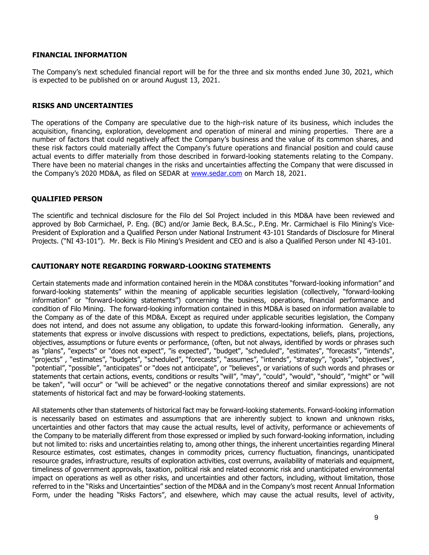#### FINANCIAL INFORMATION

The Company's next scheduled financial report will be for the three and six months ended June 30, 2021, which is expected to be published on or around August 13, 2021.

#### RISKS AND UNCERTAINTIES

The operations of the Company are speculative due to the high-risk nature of its business, which includes the acquisition, financing, exploration, development and operation of mineral and mining properties. There are a number of factors that could negatively affect the Company's business and the value of its common shares, and these risk factors could materially affect the Company's future operations and financial position and could cause actual events to differ materially from those described in forward-looking statements relating to the Company. There have been no material changes in the risks and uncertainties affecting the Company that were discussed in the Company's 2020 MD&A, as filed on SEDAR at www.sedar.com on March 18, 2021.

## QUALIFIED PERSON

The scientific and technical disclosure for the Filo del Sol Project included in this MD&A have been reviewed and approved by Bob Carmichael, P. Eng. (BC) and/or Jamie Beck, B.A.Sc., P.Eng. Mr. Carmichael is Filo Mining's Vice-President of Exploration and a Qualified Person under National Instrument 43-101 Standards of Disclosure for Mineral Projects. ("NI 43-101"). Mr. Beck is Filo Mining's President and CEO and is also a Qualified Person under NI 43-101.

#### CAUTIONARY NOTE REGARDING FORWARD-LOOKING STATEMENTS

Certain statements made and information contained herein in the MD&A constitutes "forward-looking information" and forward-looking statements" within the meaning of applicable securities legislation (collectively, "forward-looking information" or "forward-looking statements") concerning the business, operations, financial performance and condition of Filo Mining. The forward-looking information contained in this MD&A is based on information available to the Company as of the date of this MD&A. Except as required under applicable securities legislation, the Company does not intend, and does not assume any obligation, to update this forward-looking information. Generally, any statements that express or involve discussions with respect to predictions, expectations, beliefs, plans, projections, objectives, assumptions or future events or performance, (often, but not always, identified by words or phrases such as "plans", "expects" or "does not expect", "is expected", "budget", "scheduled", "estimates", "forecasts", "intends", "projects" , "estimates", "budgets", "scheduled", "forecasts", "assumes", "intends", "strategy", "goals", "objectives", "potential", "possible", "anticipates" or "does not anticipate", or "believes", or variations of such words and phrases or statements that certain actions, events, conditions or results "will", "may", "could", "would", "should", "might" or "will be taken", "will occur" or "will be achieved" or the negative connotations thereof and similar expressions) are not statements of historical fact and may be forward-looking statements.

All statements other than statements of historical fact may be forward-looking statements. Forward-looking information is necessarily based on estimates and assumptions that are inherently subject to known and unknown risks, uncertainties and other factors that may cause the actual results, level of activity, performance or achievements of the Company to be materially different from those expressed or implied by such forward-looking information, including but not limited to: risks and uncertainties relating to, among other things, the inherent uncertainties regarding Mineral Resource estimates, cost estimates, changes in commodity prices, currency fluctuation, financings, unanticipated resource grades, infrastructure, results of exploration activities, cost overruns, availability of materials and equipment, timeliness of government approvals, taxation, political risk and related economic risk and unanticipated environmental impact on operations as well as other risks, and uncertainties and other factors, including, without limitation, those referred to in the "Risks and Uncertainties" section of the MD&A and in the Company's most recent Annual Information Form, under the heading "Risks Factors", and elsewhere, which may cause the actual results, level of activity,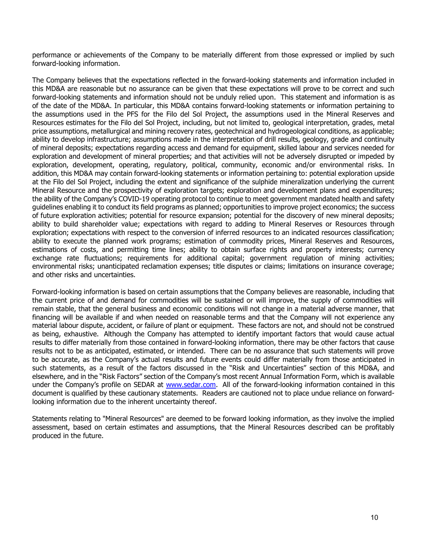performance or achievements of the Company to be materially different from those expressed or implied by such forward-looking information.

The Company believes that the expectations reflected in the forward-looking statements and information included in this MD&A are reasonable but no assurance can be given that these expectations will prove to be correct and such forward-looking statements and information should not be unduly relied upon. This statement and information is as of the date of the MD&A. In particular, this MD&A contains forward-looking statements or information pertaining to the assumptions used in the PFS for the Filo del Sol Project, the assumptions used in the Mineral Reserves and Resources estimates for the Filo del Sol Project, including, but not limited to, geological interpretation, grades, metal price assumptions, metallurgical and mining recovery rates, geotechnical and hydrogeological conditions, as applicable; ability to develop infrastructure; assumptions made in the interpretation of drill results, geology, grade and continuity of mineral deposits; expectations regarding access and demand for equipment, skilled labour and services needed for exploration and development of mineral properties; and that activities will not be adversely disrupted or impeded by exploration, development, operating, regulatory, political, community, economic and/or environmental risks. In addition, this MD&A may contain forward-looking statements or information pertaining to: potential exploration upside at the Filo del Sol Project, including the extent and significance of the sulphide mineralization underlying the current Mineral Resource and the prospectivity of exploration targets; exploration and development plans and expenditures; the ability of the Company's COVID-19 operating protocol to continue to meet government mandated health and safety guidelines enabling it to conduct its field programs as planned; opportunities to improve project economics; the success of future exploration activities; potential for resource expansion; potential for the discovery of new mineral deposits; ability to build shareholder value; expectations with regard to adding to Mineral Reserves or Resources through exploration; expectations with respect to the conversion of inferred resources to an indicated resources classification; ability to execute the planned work programs; estimation of commodity prices, Mineral Reserves and Resources, estimations of costs, and permitting time lines; ability to obtain surface rights and property interests; currency exchange rate fluctuations; requirements for additional capital; government regulation of mining activities; environmental risks; unanticipated reclamation expenses; title disputes or claims; limitations on insurance coverage; and other risks and uncertainties.

Forward-looking information is based on certain assumptions that the Company believes are reasonable, including that the current price of and demand for commodities will be sustained or will improve, the supply of commodities will remain stable, that the general business and economic conditions will not change in a material adverse manner, that financing will be available if and when needed on reasonable terms and that the Company will not experience any material labour dispute, accident, or failure of plant or equipment. These factors are not, and should not be construed as being, exhaustive. Although the Company has attempted to identify important factors that would cause actual results to differ materially from those contained in forward-looking information, there may be other factors that cause results not to be as anticipated, estimated, or intended. There can be no assurance that such statements will prove to be accurate, as the Company's actual results and future events could differ materially from those anticipated in such statements, as a result of the factors discussed in the "Risk and Uncertainties" section of this MD&A, and elsewhere, and in the "Risk Factors" section of the Company's most recent Annual Information Form, which is available under the Company's profile on SEDAR at www.sedar.com. All of the forward-looking information contained in this document is qualified by these cautionary statements. Readers are cautioned not to place undue reliance on forwardlooking information due to the inherent uncertainty thereof.

Statements relating to "Mineral Resources" are deemed to be forward looking information, as they involve the implied assessment, based on certain estimates and assumptions, that the Mineral Resources described can be profitably produced in the future.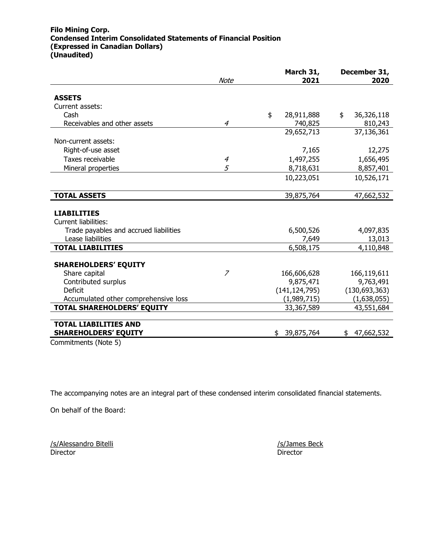## Filo Mining Corp. Condensed Interim Consolidated Statements of Financial Position (Expressed in Canadian Dollars) (Unaudited)

|                                        |                  | March 31,        | December 31,     |  |
|----------------------------------------|------------------|------------------|------------------|--|
|                                        | <b>Note</b>      | 2021             | 2020             |  |
|                                        |                  |                  |                  |  |
| <b>ASSETS</b>                          |                  |                  |                  |  |
| Current assets:                        |                  |                  |                  |  |
| Cash                                   |                  | \$<br>28,911,888 | 36,326,118<br>\$ |  |
| Receivables and other assets           | $\overline{4}$   | 740,825          | 810,243          |  |
|                                        |                  | 29,652,713       | 37,136,361       |  |
| Non-current assets:                    |                  |                  |                  |  |
| Right-of-use asset                     |                  | 7,165            | 12,275           |  |
| Taxes receivable                       | $\boldsymbol{4}$ | 1,497,255        | 1,656,495        |  |
| Mineral properties                     | 5                | 8,718,631        | 8,857,401        |  |
|                                        |                  | 10,223,051       | 10,526,171       |  |
|                                        |                  |                  |                  |  |
| <b>TOTAL ASSETS</b>                    |                  | 39,875,764       | 47,662,532       |  |
|                                        |                  |                  |                  |  |
| <b>LIABILITIES</b>                     |                  |                  |                  |  |
| <b>Current liabilities:</b>            |                  |                  |                  |  |
| Trade payables and accrued liabilities |                  | 6,500,526        | 4,097,835        |  |
| Lease liabilities                      |                  | 7,649            | 13,013           |  |
| <b>TOTAL LIABILITIES</b>               |                  | 6,508,175        | 4,110,848        |  |
|                                        |                  |                  |                  |  |
| <b>SHAREHOLDERS' EQUITY</b>            |                  |                  |                  |  |
| Share capital                          | $\overline{z}$   | 166,606,628      | 166,119,611      |  |
| Contributed surplus                    |                  | 9,875,471        | 9,763,491        |  |
| <b>Deficit</b>                         |                  | (141, 124, 795)  | (130, 693, 363)  |  |
| Accumulated other comprehensive loss   |                  | (1,989,715)      | (1,638,055)      |  |
| <b>TOTAL SHAREHOLDERS' EQUITY</b>      |                  | 33,367,589       | 43,551,684       |  |
|                                        |                  |                  |                  |  |
| <b>TOTAL LIABILITIES AND</b>           |                  |                  |                  |  |
| <b>SHAREHOLDERS' EQUITY</b>            |                  | \$ 39,875,764    | 47,662,532<br>\$ |  |
| albasanta (Blata E).                   |                  |                  |                  |  |

Commitments (Note 5)

The accompanying notes are an integral part of these condensed interim consolidated financial statements.

On behalf of the Board:

/s/Alessandro Bitelli /s/James Beck Director Director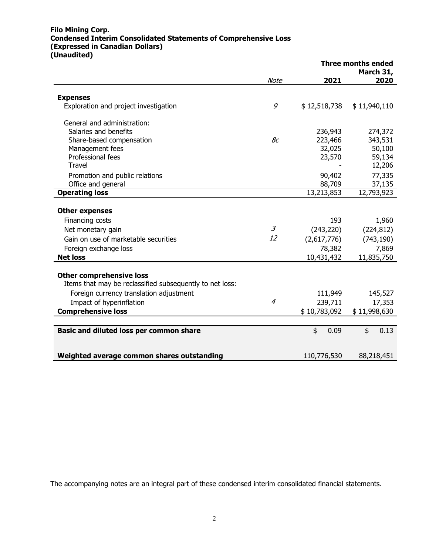## Filo Mining Corp. Condensed Interim Consolidated Statements of Comprehensive Loss (Expressed in Canadian Dollars) (Unaudited)

|                                                          |                |              | <b>Three months ended</b><br>March 31, |
|----------------------------------------------------------|----------------|--------------|----------------------------------------|
|                                                          | <b>Note</b>    | 2021         | 2020                                   |
| <b>Expenses</b>                                          |                |              |                                        |
| Exploration and project investigation                    | 9              | \$12,518,738 | \$11,940,110                           |
| General and administration:                              |                |              |                                        |
| Salaries and benefits                                    |                | 236,943      | 274,372                                |
| Share-based compensation                                 | 8c             | 223,466      | 343,531                                |
| Management fees                                          |                | 32,025       | 50,100                                 |
| Professional fees                                        |                | 23,570       | 59,134                                 |
| Travel                                                   |                |              | 12,206                                 |
| Promotion and public relations                           |                | 90,402       | 77,335                                 |
| Office and general                                       |                | 88,709       | 37,135                                 |
| <b>Operating loss</b>                                    |                | 13,213,853   | 12,793,923                             |
|                                                          |                |              |                                        |
| <b>Other expenses</b>                                    |                |              |                                        |
| Financing costs                                          |                | 193          | 1,960                                  |
| Net monetary gain                                        | $\mathfrak{Z}$ | (243, 220)   | (224, 812)                             |
| Gain on use of marketable securities                     | 12             | (2,617,776)  | (743, 190)                             |
| Foreign exchange loss                                    |                | 78,382       | 7,869                                  |
| <b>Net loss</b>                                          |                | 10,431,432   | 11,835,750                             |
|                                                          |                |              |                                        |
| <b>Other comprehensive loss</b>                          |                |              |                                        |
| Items that may be reclassified subsequently to net loss: |                |              |                                        |
| Foreign currency translation adjustment                  |                | 111,949      | 145,527                                |
| Impact of hyperinflation                                 | 4              | 239,711      | 17,353                                 |
| <b>Comprehensive loss</b>                                |                | \$10,783,092 | \$11,998,630                           |
|                                                          |                |              |                                        |
| Basic and diluted loss per common share                  |                | \$<br>0.09   | \$<br>0.13                             |
|                                                          |                |              |                                        |
|                                                          |                |              |                                        |
| Weighted average common shares outstanding               |                | 110,776,530  | 88,218,451                             |

The accompanying notes are an integral part of these condensed interim consolidated financial statements.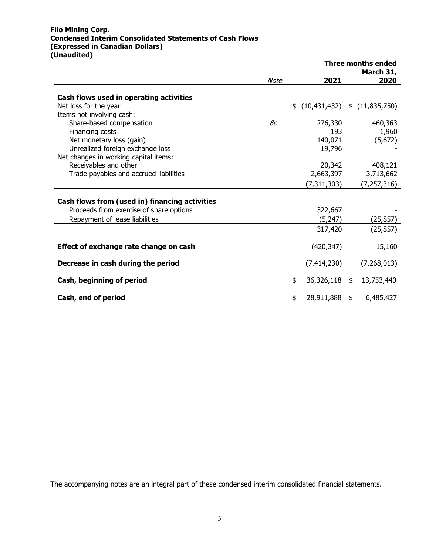## Filo Mining Corp. Condensed Interim Consolidated Statements of Cash Flows (Expressed in Canadian Dollars) (Unaudited)

|                                                |      |                                  | Three months ended<br>March 31, |
|------------------------------------------------|------|----------------------------------|---------------------------------|
|                                                | Note | 2021                             | 2020                            |
| Cash flows used in operating activities        |      |                                  |                                 |
| Net loss for the year                          |      | $(10,431,432)$ \$ $(11,835,750)$ |                                 |
| Items not involving cash:                      |      |                                  |                                 |
| Share-based compensation                       | 8c   | 276,330                          | 460,363                         |
| Financing costs                                |      | 193                              | 1,960                           |
| Net monetary loss (gain)                       |      | 140,071                          | (5,672)                         |
| Unrealized foreign exchange loss               |      | 19,796                           |                                 |
| Net changes in working capital items:          |      |                                  |                                 |
| Receivables and other                          |      | 20,342                           | 408,121                         |
| Trade payables and accrued liabilities         |      | 2,663,397                        | 3,713,662                       |
|                                                |      | (7,311,303)                      | (7, 257, 316)                   |
| Cash flows from (used in) financing activities |      |                                  |                                 |
| Proceeds from exercise of share options        |      | 322,667                          |                                 |
| Repayment of lease liabilities                 |      | (5,247)                          | (25, 857)                       |
|                                                |      | 317,420                          | (25,857)                        |
|                                                |      |                                  |                                 |
| Effect of exchange rate change on cash         |      | (420, 347)                       | 15,160                          |
| Decrease in cash during the period             |      | (7, 414, 230)                    | (7,268,013)                     |
| Cash, beginning of period                      |      | \$<br>36,326,118                 | \$<br>13,753,440                |
| Cash, end of period                            |      | \$<br>28,911,888                 | \$<br>6,485,427                 |

The accompanying notes are an integral part of these condensed interim consolidated financial statements.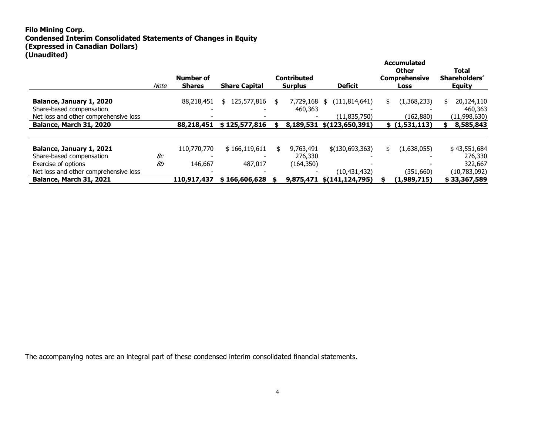## Filo Mining Corp. Condensed Interim Consolidated Statements of Changes in Equity (Expressed in Canadian Dollars) (Unaudited)

|                                       | Note | <b>Number of</b><br><b>Shares</b> | <b>Share Capital</b> | <b>Contributed</b><br><b>Surplus</b> | <b>Deficit</b>            | <b>Accumulated</b><br><b>Other</b><br><b>Comprehensive</b><br>Loss | <b>Total</b><br>Shareholders'<br><b>Equity</b> |
|---------------------------------------|------|-----------------------------------|----------------------|--------------------------------------|---------------------------|--------------------------------------------------------------------|------------------------------------------------|
| Balance, January 1, 2020              |      | 88,218,451                        | 125,577,816          | \$<br>7,729,168                      | (111, 814, 641)<br>\$     | \$<br>(1,368,233)                                                  | 20,124,110<br>\$                               |
| Share-based compensation              |      |                                   |                      | 460,363                              |                           |                                                                    | 460,363                                        |
| Net loss and other comprehensive loss |      |                                   |                      |                                      | (11.835.750)              | (162,880)                                                          | (11,998,630)                                   |
| <b>Balance, March 31, 2020</b>        |      | 88,218,451                        | \$125,577,816        |                                      | 8,189,531 \$(123,650,391) | \$ (1,531,113)                                                     | 8,585,843                                      |
|                                       |      |                                   |                      |                                      |                           |                                                                    |                                                |
| Balance, January 1, 2021              |      | 110,770,770                       | \$166,119,611        | \$<br>9,763,491                      | \$(130,693,363)           | \$<br>(1,638,055)                                                  | \$43,551,684                                   |
| Share-based compensation              | 8с   |                                   |                      | 276,330                              |                           |                                                                    | 276,330                                        |
| Exercise of options                   | 8b   | 146,667                           | 487,017              | (164,350)                            |                           |                                                                    | 322,667                                        |
| Net loss and other comprehensive loss |      |                                   |                      |                                      | (10, 431, 432)            | (351,660)                                                          | (10,783,092)                                   |
| Balance, March 31, 2021               |      | 110,917,437                       | \$166,606,628        | 9,875,471                            | \$(141, 124, 795)         | (1,989,715)                                                        | \$33,367,589                                   |

The accompanying notes are an integral part of these condensed interim consolidated financial statements.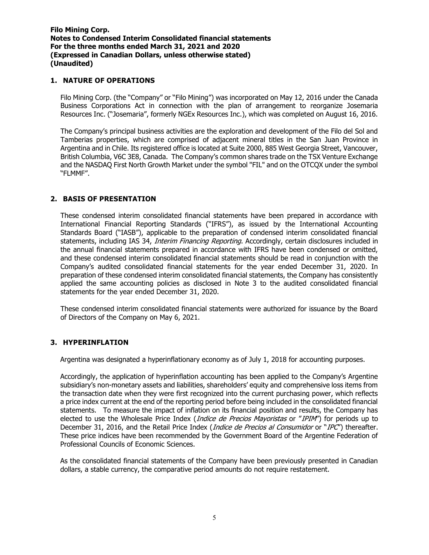## 1. NATURE OF OPERATIONS

Filo Mining Corp. (the "Company" or "Filo Mining") was incorporated on May 12, 2016 under the Canada Business Corporations Act in connection with the plan of arrangement to reorganize Josemaria Resources Inc. ("Josemaria", formerly NGEx Resources Inc.), which was completed on August 16, 2016.

The Company's principal business activities are the exploration and development of the Filo del Sol and Tamberias properties, which are comprised of adjacent mineral titles in the San Juan Province in Argentina and in Chile. Its registered office is located at Suite 2000, 885 West Georgia Street, Vancouver, British Columbia, V6C 3E8, Canada. The Company's common shares trade on the TSX Venture Exchange and the NASDAQ First North Growth Market under the symbol "FIL" and on the OTCQX under the symbol "FLMMF".

# 2. BASIS OF PRESENTATION

These condensed interim consolidated financial statements have been prepared in accordance with International Financial Reporting Standards ("IFRS"), as issued by the International Accounting Standards Board ("IASB"), applicable to the preparation of condensed interim consolidated financial statements, including IAS 34, *Interim Financing Reporting*. Accordingly, certain disclosures included in the annual financial statements prepared in accordance with IFRS have been condensed or omitted, and these condensed interim consolidated financial statements should be read in conjunction with the Company's audited consolidated financial statements for the year ended December 31, 2020. In preparation of these condensed interim consolidated financial statements, the Company has consistently applied the same accounting policies as disclosed in Note 3 to the audited consolidated financial statements for the year ended December 31, 2020.

These condensed interim consolidated financial statements were authorized for issuance by the Board of Directors of the Company on May 6, 2021.

# 3. HYPERINFLATION

Argentina was designated a hyperinflationary economy as of July 1, 2018 for accounting purposes.

Accordingly, the application of hyperinflation accounting has been applied to the Company's Argentine subsidiary's non-monetary assets and liabilities, shareholders' equity and comprehensive loss items from the transaction date when they were first recognized into the current purchasing power, which reflects a price index current at the end of the reporting period before being included in the consolidated financial statements. To measure the impact of inflation on its financial position and results, the Company has elected to use the Wholesale Price Index (*Indice de Precios Mayoristas* or "IPIM") for periods up to December 31, 2016, and the Retail Price Index (*Indice de Precios al Consumidor* or "*IPC*") thereafter. These price indices have been recommended by the Government Board of the Argentine Federation of Professional Councils of Economic Sciences.

As the consolidated financial statements of the Company have been previously presented in Canadian dollars, a stable currency, the comparative period amounts do not require restatement.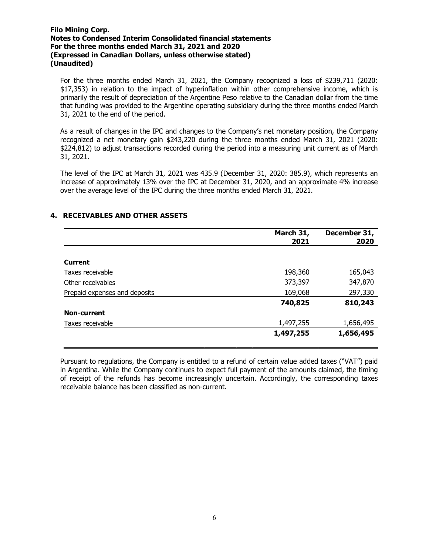For the three months ended March 31, 2021, the Company recognized a loss of \$239,711 (2020: \$17,353) in relation to the impact of hyperinflation within other comprehensive income, which is primarily the result of depreciation of the Argentine Peso relative to the Canadian dollar from the time that funding was provided to the Argentine operating subsidiary during the three months ended March 31, 2021 to the end of the period.

As a result of changes in the IPC and changes to the Company's net monetary position, the Company recognized a net monetary gain \$243,220 during the three months ended March 31, 2021 (2020: \$224,812) to adjust transactions recorded during the period into a measuring unit current as of March 31, 2021.

The level of the IPC at March 31, 2021 was 435.9 (December 31, 2020: 385.9), which represents an increase of approximately 13% over the IPC at December 31, 2020, and an approximate 4% increase over the average level of the IPC during the three months ended March 31, 2021.

|                               | March 31,<br>2021 | December 31,<br>2020 |
|-------------------------------|-------------------|----------------------|
|                               |                   |                      |
| <b>Current</b>                |                   |                      |
| Taxes receivable              | 198,360           | 165,043              |
| Other receivables             | 373,397           | 347,870              |
| Prepaid expenses and deposits | 169,068           | 297,330              |
|                               | 740,825           | 810,243              |
| <b>Non-current</b>            |                   |                      |
| Taxes receivable              | 1,497,255         | 1,656,495            |
|                               | 1,497,255         | 1,656,495            |

# 4. RECEIVABLES AND OTHER ASSETS

Pursuant to regulations, the Company is entitled to a refund of certain value added taxes ("VAT") paid in Argentina. While the Company continues to expect full payment of the amounts claimed, the timing of receipt of the refunds has become increasingly uncertain. Accordingly, the corresponding taxes receivable balance has been classified as non-current.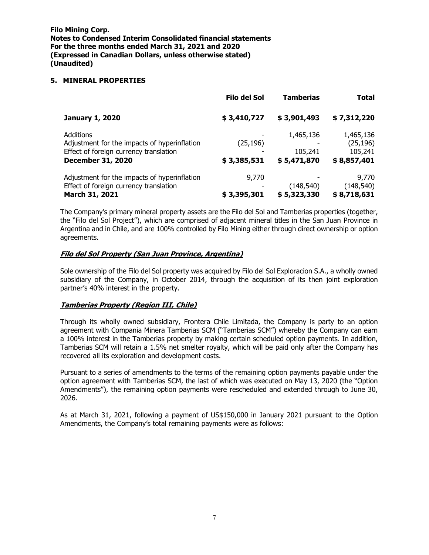#### 5. MINERAL PROPERTIES

|                                              | Filo del Sol | <b>Tamberias</b> | Total       |
|----------------------------------------------|--------------|------------------|-------------|
|                                              |              |                  |             |
| <b>January 1, 2020</b>                       | \$3,410,727  | \$3,901,493      | \$7,312,220 |
|                                              |              |                  |             |
| <b>Additions</b>                             |              | 1,465,136        | 1,465,136   |
| Adjustment for the impacts of hyperinflation | (25, 196)    |                  | (25, 196)   |
| Effect of foreign currency translation       |              | 105,241          | 105,241     |
| <b>December 31, 2020</b>                     | \$3,385,531  | \$5,471,870      | \$8,857,401 |
| Adjustment for the impacts of hyperinflation | 9,770        |                  | 9,770       |
| Effect of foreign currency translation       |              | (148,540)        | (148,540)   |
| March 31, 2021                               | \$3,395,301  | \$5,323,330      | \$8,718,631 |

The Company's primary mineral property assets are the Filo del Sol and Tamberias properties (together, the "Filo del Sol Project"), which are comprised of adjacent mineral titles in the San Juan Province in Argentina and in Chile, and are 100% controlled by Filo Mining either through direct ownership or option agreements.

## Filo del Sol Property (San Juan Province, Argentina)

Sole ownership of the Filo del Sol property was acquired by Filo del Sol Exploracion S.A., a wholly owned subsidiary of the Company, in October 2014, through the acquisition of its then joint exploration partner's 40% interest in the property.

## Tamberias Property (Region III, Chile)

Through its wholly owned subsidiary, Frontera Chile Limitada, the Company is party to an option agreement with Compania Minera Tamberias SCM ("Tamberias SCM") whereby the Company can earn a 100% interest in the Tamberias property by making certain scheduled option payments. In addition, Tamberias SCM will retain a 1.5% net smelter royalty, which will be paid only after the Company has recovered all its exploration and development costs.

Pursuant to a series of amendments to the terms of the remaining option payments payable under the option agreement with Tamberias SCM, the last of which was executed on May 13, 2020 (the "Option Amendments"), the remaining option payments were rescheduled and extended through to June 30, 2026.

As at March 31, 2021, following a payment of US\$150,000 in January 2021 pursuant to the Option Amendments, the Company's total remaining payments were as follows: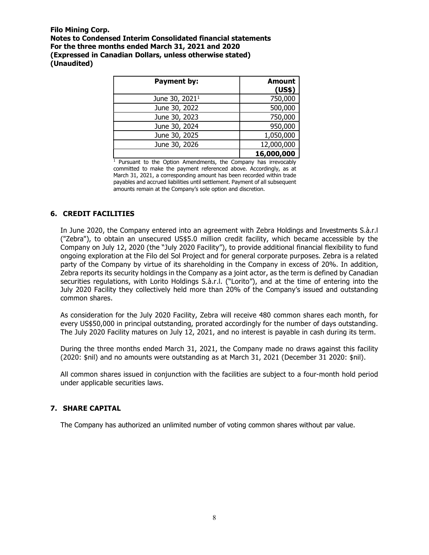| <b>Payment by:</b>         | <b>Amount</b><br>(US\$) |
|----------------------------|-------------------------|
| June 30, 2021 <sup>1</sup> | 750,000                 |
| June 30, 2022              | 500,000                 |
| June 30, 2023              | 750,000                 |
| June 30, 2024              | 950,000                 |
| June 30, 2025              | 1,050,000               |
| June 30, 2026              | 12,000,000              |
|                            | 16,000,000              |

<sup>1</sup> Pursuant to the Option Amendments, the Company has irrevocably committed to make the payment referenced above. Accordingly, as at March 31, 2021, a corresponding amount has been recorded within trade payables and accrued liabilities until settlement. Payment of all subsequent amounts remain at the Company's sole option and discretion.

## 6. CREDIT FACILITIES

In June 2020, the Company entered into an agreement with Zebra Holdings and Investments S.à.r.l ("Zebra"), to obtain an unsecured US\$5.0 million credit facility, which became accessible by the Company on July 12, 2020 (the "July 2020 Facility"), to provide additional financial flexibility to fund ongoing exploration at the Filo del Sol Project and for general corporate purposes. Zebra is a related party of the Company by virtue of its shareholding in the Company in excess of 20%. In addition, Zebra reports its security holdings in the Company as a joint actor, as the term is defined by Canadian securities regulations, with Lorito Holdings S.à.r.l. ("Lorito"), and at the time of entering into the July 2020 Facility they collectively held more than 20% of the Company's issued and outstanding common shares.

As consideration for the July 2020 Facility, Zebra will receive 480 common shares each month, for every US\$50,000 in principal outstanding, prorated accordingly for the number of days outstanding. The July 2020 Facility matures on July 12, 2021, and no interest is payable in cash during its term.

During the three months ended March 31, 2021, the Company made no draws against this facility (2020: \$nil) and no amounts were outstanding as at March 31, 2021 (December 31 2020: \$nil).

All common shares issued in conjunction with the facilities are subject to a four-month hold period under applicable securities laws.

## 7. SHARE CAPITAL

The Company has authorized an unlimited number of voting common shares without par value.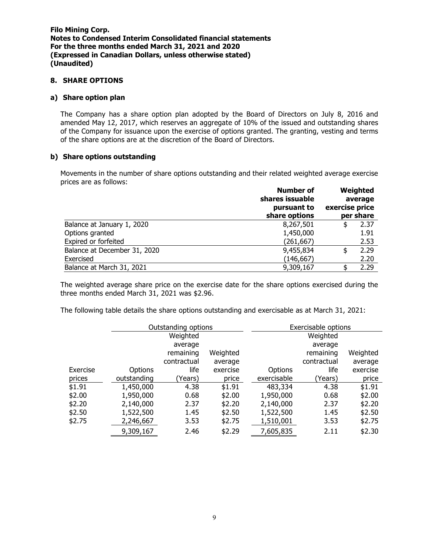#### 8. SHARE OPTIONS

#### a) Share option plan

The Company has a share option plan adopted by the Board of Directors on July 8, 2016 and amended May 12, 2017, which reserves an aggregate of 10% of the issued and outstanding shares of the Company for issuance upon the exercise of options granted. The granting, vesting and terms of the share options are at the discretion of the Board of Directors.

#### b) Share options outstanding

Movements in the number of share options outstanding and their related weighted average exercise prices are as follows:

|                              | <b>Number of</b><br>shares issuable<br>pursuant to<br>share options | Weighted<br>average<br>exercise price<br>per share |
|------------------------------|---------------------------------------------------------------------|----------------------------------------------------|
| Balance at January 1, 2020   | 8,267,501                                                           | 2.37<br>S                                          |
| Options granted              | 1,450,000                                                           | 1.91                                               |
| Expired or forfeited         | (261,667)                                                           | 2.53                                               |
| Balance at December 31, 2020 | 9,455,834                                                           | 2.29                                               |
| Exercised                    | (146, 667)                                                          | 2.20                                               |
| Balance at March 31, 2021    | 9,309,167                                                           | 2.29                                               |

The weighted average share price on the exercise date for the share options exercised during the three months ended March 31, 2021 was \$2.96.

The following table details the share options outstanding and exercisable as at March 31, 2021:

|          | Outstanding options |             |          | Exercisable options |             |          |
|----------|---------------------|-------------|----------|---------------------|-------------|----------|
|          |                     | Weighted    |          |                     | Weighted    |          |
|          |                     | average     |          |                     | average     |          |
|          |                     | remaining   | Weighted |                     | remaining   | Weighted |
|          |                     | contractual | average  |                     | contractual | average  |
| Exercise | Options             | life        | exercise | Options             | life        | exercise |
| prices   | outstanding         | (Years)     | price    | exercisable         | (Years)     | price    |
| \$1.91   | 1,450,000           | 4.38        | \$1.91   | 483,334             | 4.38        | \$1.91   |
| \$2.00   | 1,950,000           | 0.68        | \$2.00   | 1,950,000           | 0.68        | \$2.00   |
| \$2.20   | 2,140,000           | 2.37        | \$2.20   | 2,140,000           | 2.37        | \$2.20   |
| \$2.50   | 1,522,500           | 1.45        | \$2.50   | 1,522,500           | 1.45        | \$2.50   |
| \$2.75   | 2,246,667           | 3.53        | \$2.75   | 1,510,001           | 3.53        | \$2.75   |
|          | 9,309,167           | 2.46        | \$2.29   | 7,605,835           | 2.11        | \$2.30   |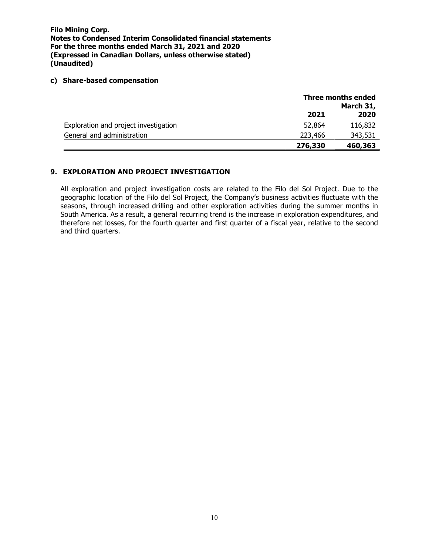#### c) Share-based compensation

|                                       | Three months ended |         |
|---------------------------------------|--------------------|---------|
|                                       | March 31,          |         |
|                                       | 2021               | 2020    |
| Exploration and project investigation | 52,864             | 116,832 |
| General and administration            | 223,466            | 343,531 |
|                                       | 276,330            | 460,363 |

# 9. EXPLORATION AND PROJECT INVESTIGATION

All exploration and project investigation costs are related to the Filo del Sol Project. Due to the geographic location of the Filo del Sol Project, the Company's business activities fluctuate with the seasons, through increased drilling and other exploration activities during the summer months in South America. As a result, a general recurring trend is the increase in exploration expenditures, and therefore net losses, for the fourth quarter and first quarter of a fiscal year, relative to the second and third quarters.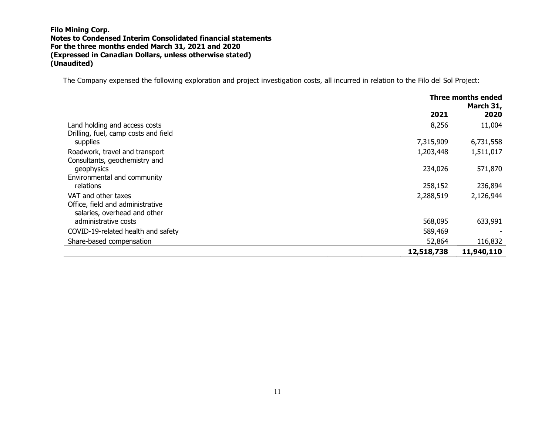The Company expensed the following exploration and project investigation costs, all incurred in relation to the Filo del Sol Project:

|                                      |            | Three months ended |  |
|--------------------------------------|------------|--------------------|--|
|                                      |            | March 31,          |  |
|                                      | 2021       | 2020               |  |
| Land holding and access costs        | 8,256      | 11,004             |  |
| Drilling, fuel, camp costs and field |            |                    |  |
| supplies                             | 7,315,909  | 6,731,558          |  |
| Roadwork, travel and transport       | 1,203,448  | 1,511,017          |  |
| Consultants, geochemistry and        |            |                    |  |
| geophysics                           | 234,026    | 571,870            |  |
| Environmental and community          |            |                    |  |
| relations                            | 258,152    | 236,894            |  |
| VAT and other taxes                  | 2,288,519  | 2,126,944          |  |
| Office, field and administrative     |            |                    |  |
| salaries, overhead and other         |            |                    |  |
| administrative costs                 | 568,095    | 633,991            |  |
| COVID-19-related health and safety   | 589,469    |                    |  |
| Share-based compensation             | 52,864     | 116,832            |  |
|                                      | 12,518,738 | 11,940,110         |  |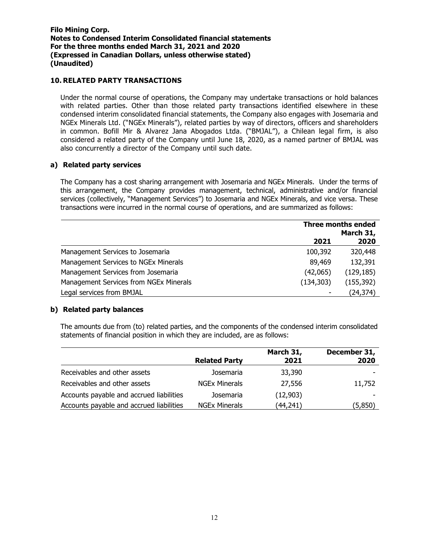#### 10. RELATED PARTY TRANSACTIONS

Under the normal course of operations, the Company may undertake transactions or hold balances with related parties. Other than those related party transactions identified elsewhere in these condensed interim consolidated financial statements, the Company also engages with Josemaria and NGEx Minerals Ltd. ("NGEx Minerals"), related parties by way of directors, officers and shareholders in common. Bofill Mir & Alvarez Jana Abogados Ltda. ("BMJAL"), a Chilean legal firm, is also considered a related party of the Company until June 18, 2020, as a named partner of BMJAL was also concurrently a director of the Company until such date.

## a) Related party services

The Company has a cost sharing arrangement with Josemaria and NGEx Minerals. Under the terms of this arrangement, the Company provides management, technical, administrative and/or financial services (collectively, "Management Services") to Josemaria and NGEx Minerals, and vice versa. These transactions were incurred in the normal course of operations, and are summarized as follows:

|                                        | Three months ended |            |
|----------------------------------------|--------------------|------------|
|                                        | March 31,          |            |
|                                        | 2021               | 2020       |
| Management Services to Josemaria       | 100,392            | 320,448    |
| Management Services to NGEx Minerals   | 89,469             | 132,391    |
| Management Services from Josemaria     | (42,065)           | (129, 185) |
| Management Services from NGEx Minerals | (134, 303)         | (155, 392) |
| Legal services from BMJAL              |                    | (24,374)   |

## b) Related party balances

The amounts due from (to) related parties, and the components of the condensed interim consolidated statements of financial position in which they are included, are as follows:

|                                          |                      | March 31, | December 31, |
|------------------------------------------|----------------------|-----------|--------------|
|                                          | <b>Related Party</b> | 2021      | 2020         |
| Receivables and other assets             | Josemaria            | 33,390    |              |
| Receivables and other assets             | <b>NGEx Minerals</b> | 27,556    | 11,752       |
| Accounts payable and accrued liabilities | Josemaria            | (12,903)  |              |
| Accounts payable and accrued liabilities | <b>NGEx Minerals</b> | (44,241)  | (5,850)      |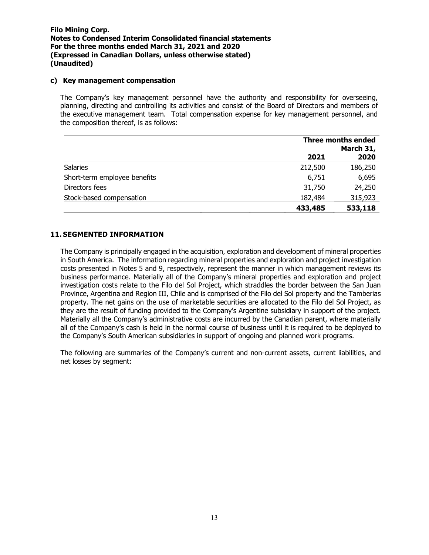#### c) Key management compensation

The Company's key management personnel have the authority and responsibility for overseeing, planning, directing and controlling its activities and consist of the Board of Directors and members of the executive management team. Total compensation expense for key management personnel, and the composition thereof, is as follows:

|                              | <b>Three months ended</b> |                   |
|------------------------------|---------------------------|-------------------|
|                              | 2021                      | March 31,<br>2020 |
| <b>Salaries</b>              | 212,500                   | 186,250           |
| Short-term employee benefits | 6,751                     | 6,695             |
| Directors fees               | 31,750                    | 24,250            |
| Stock-based compensation     | 182,484                   | 315,923           |
|                              | 433,485                   | 533,118           |

## 11. SEGMENTED INFORMATION

The Company is principally engaged in the acquisition, exploration and development of mineral properties in South America. The information regarding mineral properties and exploration and project investigation costs presented in Notes 5 and 9, respectively, represent the manner in which management reviews its business performance. Materially all of the Company's mineral properties and exploration and project investigation costs relate to the Filo del Sol Project, which straddles the border between the San Juan Province, Argentina and Region III, Chile and is comprised of the Filo del Sol property and the Tamberias property. The net gains on the use of marketable securities are allocated to the Filo del Sol Project, as they are the result of funding provided to the Company's Argentine subsidiary in support of the project. Materially all the Company's administrative costs are incurred by the Canadian parent, where materially all of the Company's cash is held in the normal course of business until it is required to be deployed to the Company's South American subsidiaries in support of ongoing and planned work programs.

The following are summaries of the Company's current and non-current assets, current liabilities, and net losses by segment: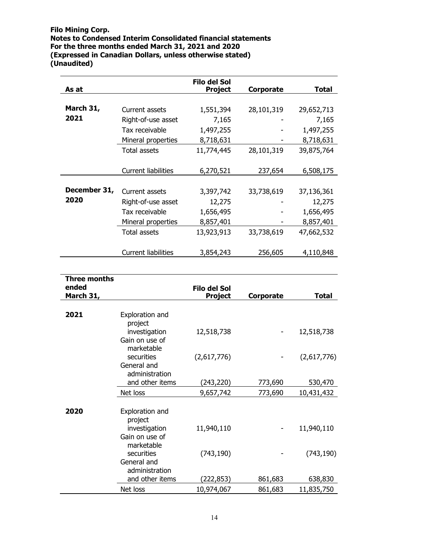| As at        |                            | <b>Filo del Sol</b><br><b>Project</b> | <b>Corporate</b> | Total      |
|--------------|----------------------------|---------------------------------------|------------------|------------|
|              |                            |                                       |                  |            |
| March 31,    | Current assets             | 1,551,394                             | 28,101,319       | 29,652,713 |
| 2021         | Right-of-use asset         | 7,165                                 |                  | 7,165      |
|              | Tax receivable             | 1,497,255                             |                  | 1,497,255  |
|              | Mineral properties         | 8,718,631                             |                  | 8,718,631  |
|              | Total assets               | 11,774,445                            | 28,101,319       | 39,875,764 |
|              |                            |                                       |                  |            |
|              | <b>Current liabilities</b> | 6,270,521                             | 237,654          | 6,508,175  |
|              |                            |                                       |                  |            |
| December 31, | Current assets             | 3,397,742                             | 33,738,619       | 37,136,361 |
| 2020         | Right-of-use asset         | 12,275                                |                  | 12,275     |
|              | Tax receivable             | 1,656,495                             |                  | 1,656,495  |
|              | Mineral properties         | 8,857,401                             |                  | 8,857,401  |
|              | Total assets               | 13,923,913                            | 33,738,619       | 47,662,532 |
|              |                            |                                       |                  |            |
|              | <b>Current liabilities</b> | 3,854,243                             | 256,605          | 4,110,848  |

| <b>Three months</b> |                                               |                                       |           |             |
|---------------------|-----------------------------------------------|---------------------------------------|-----------|-------------|
| ended<br>March 31,  |                                               | <b>Filo del Sol</b><br><b>Project</b> | Corporate | Total       |
|                     |                                               |                                       |           |             |
| 2021                | Exploration and<br>project                    |                                       |           |             |
|                     | investigation<br>Gain on use of<br>marketable | 12,518,738                            |           | 12,518,738  |
|                     | securities<br>General and                     | (2,617,776)                           |           | (2,617,776) |
|                     | administration<br>and other items             | (243,220)                             | 773,690   | 530,470     |
|                     | Net loss                                      | 9,657,742                             | 773,690   | 10,431,432  |
| 2020                | Exploration and<br>project                    |                                       |           |             |
|                     | investigation<br>Gain on use of<br>marketable | 11,940,110                            |           | 11,940,110  |
|                     | securities<br>General and<br>administration   | (743, 190)                            |           | (743, 190)  |
|                     | and other items                               | (222,853)                             | 861,683   | 638,830     |
|                     | Net loss                                      | 10,974,067                            | 861,683   | 11,835,750  |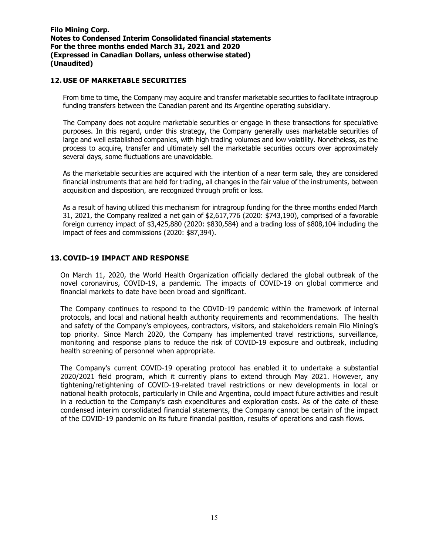#### 12. USE OF MARKETABLE SECURITIES

From time to time, the Company may acquire and transfer marketable securities to facilitate intragroup funding transfers between the Canadian parent and its Argentine operating subsidiary.

The Company does not acquire marketable securities or engage in these transactions for speculative purposes. In this regard, under this strategy, the Company generally uses marketable securities of large and well established companies, with high trading volumes and low volatility. Nonetheless, as the process to acquire, transfer and ultimately sell the marketable securities occurs over approximately several days, some fluctuations are unavoidable.

As the marketable securities are acquired with the intention of a near term sale, they are considered financial instruments that are held for trading, all changes in the fair value of the instruments, between acquisition and disposition, are recognized through profit or loss.

As a result of having utilized this mechanism for intragroup funding for the three months ended March 31, 2021, the Company realized a net gain of \$2,617,776 (2020: \$743,190), comprised of a favorable foreign currency impact of \$3,425,880 (2020: \$830,584) and a trading loss of \$808,104 including the impact of fees and commissions (2020: \$87,394).

# 13. COVID-19 IMPACT AND RESPONSE

On March 11, 2020, the World Health Organization officially declared the global outbreak of the novel coronavirus, COVID-19, a pandemic. The impacts of COVID-19 on global commerce and financial markets to date have been broad and significant.

The Company continues to respond to the COVID-19 pandemic within the framework of internal protocols, and local and national health authority requirements and recommendations. The health and safety of the Company's employees, contractors, visitors, and stakeholders remain Filo Mining's top priority. Since March 2020, the Company has implemented travel restrictions, surveillance, monitoring and response plans to reduce the risk of COVID-19 exposure and outbreak, including health screening of personnel when appropriate.

The Company's current COVID-19 operating protocol has enabled it to undertake a substantial 2020/2021 field program, which it currently plans to extend through May 2021. However, any tightening/retightening of COVID-19-related travel restrictions or new developments in local or national health protocols, particularly in Chile and Argentina, could impact future activities and result in a reduction to the Company's cash expenditures and exploration costs. As of the date of these condensed interim consolidated financial statements, the Company cannot be certain of the impact of the COVID-19 pandemic on its future financial position, results of operations and cash flows.